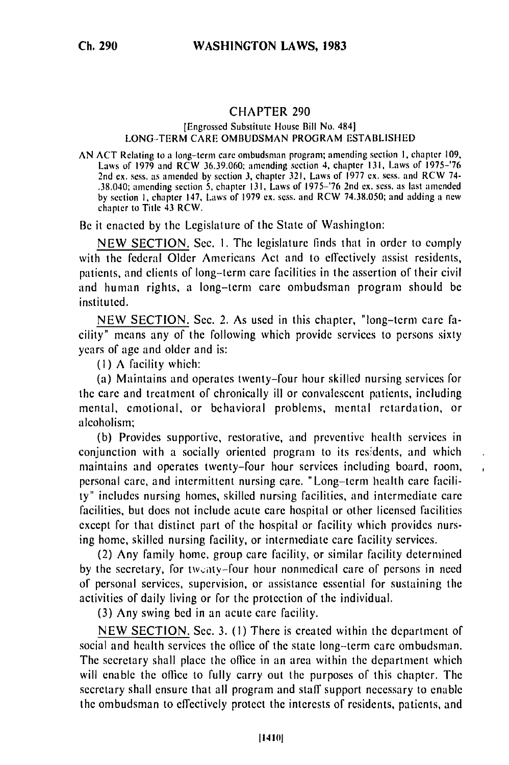## **CHAPTER 290**

## [Engrossed Substitute House Bill No. 484] LONG--TERM CARE OMBUDSMAN PROGRAM ESTABLISHED

AN ACT Relating to a long-term care ombudsman program; amending section I, chapter 109, Laws of 1979 and RCW 36.39.060: amending section 4, chapter 131, Laws of 1975-'76 Laws of 1979 and RCW 36.39.060; amending section 4, chapter 131, Laws of 1975–'76 2nd ex. sess. as amended by section 3, chapter 321, Laws of 1977 ex. sess. and RCW 74-.38.040; amending section 5, chapter 131, Laws of 1975-'76 2nd ex. sess. as last amended by section I, chapter 147, Laws of 1979 ex. sess. and RCW 74.38.050; and adding a new chapter to Title 43 RCW.

Be it enacted by the Legislature of the State of Washington:

NEW SECTION. Sec. **1.** The legislature finds that in order to comply with the federal Older Americans Act and to effectively assist residents, patients, and clients of long-term care facilities in the assertion of their civil and human rights, a long-term care ombudsman program should be instituted.

NEW SECTION. Sec. 2. As used in this chapter, "long-term care facility" means any of the following which provide services to persons sixty years of age and older and is:

**(I)** A facility which:

(a) Maintains and operates twenty-four hour skilled nursing services for the care and treatment of chronically ill or convalescent patients, including mental, emotional, or behavioral problems, mental retardation, or alcoholism;

(b) Provides supportive, restorative, and preventive health services in conjunction with a socially oriented program to its residents, and which maintains and operates twenty-four hour services including board, room, personal care, and intermittent nursing care. "Long-term health care facility" includes nursing homes, skilled nursing facilities, and intermediate care facilities, but does not include acute care hospital or other licensed facilities except for that distinct part of the hospital or facility which provides nursing home, skilled nursing facility, or intermediate care facility services.

(2) Any family home, group care facility, or similar facility determined by the secretary, for twenty-four hour nonmedical care of persons in need of personal services, supervision, or assistance essential for sustaining the activities of daily living or for the protection of the individual.

(3) Any swing bed in an acute care facility.

NEW SECTION. Sec. 3. **(1)** There is created within the department of social and health services the office of the state long-term care ombudsman. The secretary shall place the office in an area within the department which will enable the office to fully carry out the purposes of this chapter. The secretary shall ensure that all program and staff support necessary to enable the ombudsman to effectively protect the interests of residents, patients, and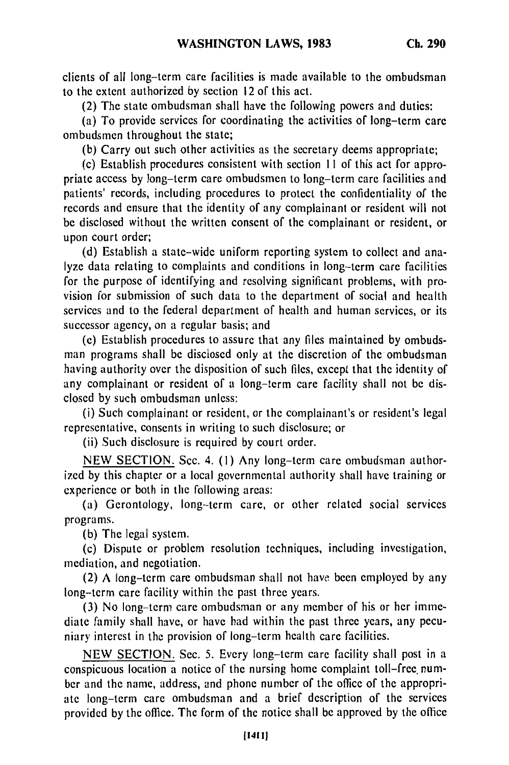clients of all long-term care facilities is made available to the ombudsman to the extent authorized by section 12 of this act.

(2) The state ombudsman shall have the following powers and duties:

(a) To provide services for coordinating the activities of long-term care ombudsmen throughout the state;

(b) Carry out such other activities as the secretary deems appropriate;

(c) Establish procedures consistent with section 11 of this act for appropriate access by long-term care ombudsmen to long-term care facilities and patients' records, including procedures to protect the confidentiality of the records and ensure that the identity of any complainant or resident will not be disclosed without the written consent of the complainant or resident, or upon court order;

(d) Establish a state-wide uniform reporting system to collect and analyze data relating to complaints and conditions in long-term care facilities for the purpose of identifying and resolving significant problems, with provision for submission of such data to the department of social and health services and to the federal department of health and human services, or its successor agency, on a regular basis; and

(e) Establish procedures to assure that any files maintained by ombudsman programs shall be disclosed only at the discretion of the ombudsman having authority over the disposition of such files, except that the identity of any complainant or resident of a long-term care facility shall not be disclosed by such ombudsman unless:

(i) Such complainant or resident, or the complainant's or resident's legal representative, consents in writing to such disclosure; or

(ii) Such disclosure is required by court order.

NEW SECTION. Sec. 4. **(1)** Any long-term care ombudsman authorized by this chapter or a local governmental authority shall have training or experience or both in the following areas:

(a) Gerontology, long-term care, or other related social services programs.

(b) The legal system.

(c) Dispute or problem resolution techniques, including investigation, mediation, and negotiation.

(2) A long-term care ombudsman shall not have been employed by any long-term care facility within the past three years.

(3) No long-term care ombudsman or any member of his or her immediate family shall have, or have had within the past three years, any pecuniary interest in the provision of long-term health care facilities.

NEW SECTION. Sec. 5. Every long-term care facility shall post in a conspicuous location a notice of the nursing home complaint toll-free. number and the name, address, and phone number of the office of the appropriate long-term care ombudsman and a brief description of the services provided by the office. The form of the notice shall be approved by the office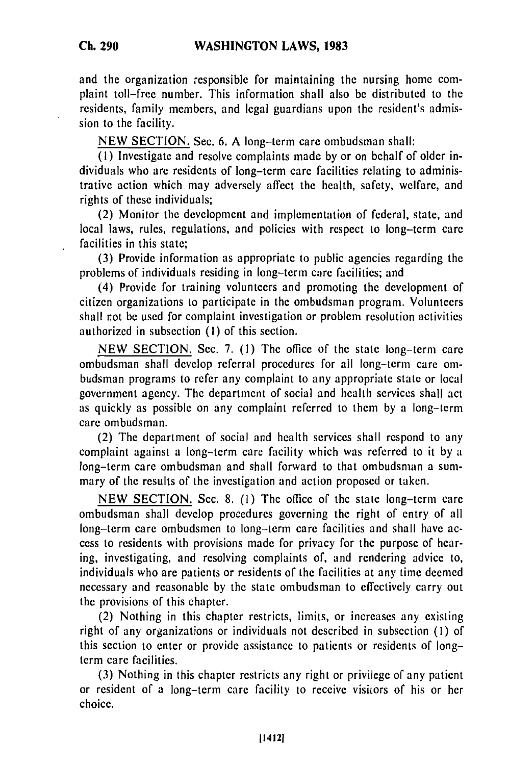and the organization responsible for maintaining the nursing home complaint toll-free number. This information shall also be distributed to the residents, family members, and legal guardians upon the resident's admission to the facility.

NEW SECTION. Sec. 6. A long-term care ombudsman shall:

**(1)** Investigate and resolve complaints made by or on behalf of older individuals who are residents of long-term care facilities relating to administrative action which may adversely affect the health, safety, welfare, and rights of these individuals;

(2) Monitor the development and implementation of federal, state, and local laws, rules, regulations, and policies with respect to long-term care facilities in this state;

(3) Provide information as appropriate to public agencies regarding the problems of individuals residing in long-term care facilities; and

(4) Provide for training volunteers and promoting the development of citizen organizations to participate in the ombudsman program. Volunteers shall not be used for complaint investigation or problem resolution activities authorized in subsection (1) of this section.

NEW SECTION. Sec. 7. (1) The office of the state long-term care ombudsman shall develop referral procedures for ail long-term care ombudsman programs to refer any complaint to any appropriate state or local government agency. The department of social and health services shall act as quickly as possible on any complaint referred to them by a long-term care ombudsman.

(2) The department of social and health services shall respond to any complaint against a long-term care facility which was referred to it by a long-term care ombudsman and shall forward to that ombudsman a summary of the results of the investigation and action proposed or taken.

NEW SECTION. Sec. 8. (I) The office of the state long-term care ombudsman shall develop procedures governing the right of entry of all long-term care ombudsmen to long-term care facilities and shall have access to residents with provisions made for privacy for the purpose of hearing, investigating, and resolving complaints of, and rendering advice to, individuals who are patients or residents of the facilities at any time deemed necessary and reasonable by the state ombudsman to effectively carry out the provisions of this chapter.

(2) Nothing in this chapter restricts, limits, or increases any existing right of any organizations or individuals not described in subsection (I) of this section to enter or provide assistance to patients or residents of longterm care facilities.

(3) Nothing in this chapter restricts any right or privilege of any patient or resident of a long-term care facility to receive visitors of his or her choice.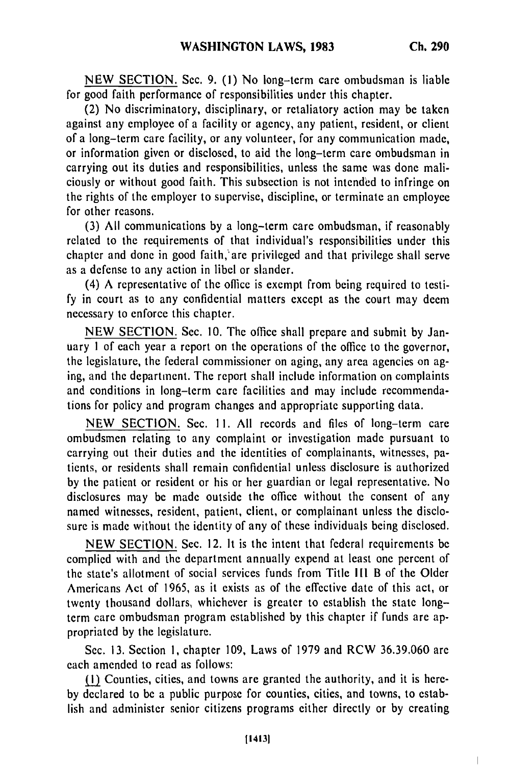NEW SECTION. Sec. 9. **(1)** No long-term care ombudsman is liable for good faith performance of responsibilities under this chapter.

(2) No discriminatory, disciplinary, or retaliatory action may be taken against any employee of a facility or agency, any patient, resident, or client of a long-term care facility, or any volunteer, for any communication made, or information given or disclosed, to aid the long-term care ombudsman in carrying out its duties and responsibilities, unless the same was done maliciously or without good faith. This subsection is not intended to infringe on the rights of the employer to supervise, discipline, or terminate an employee for other reasons.

(3) All communications by a long-term care ombudsman, if reasonably related to the requirements of that individual's responsibilities under this chapter and done in good faith, are privileged and that privilege shall serve as a defense to any action in libel or slander.

(4) A representative of the office is exempt from being required to testify in court as to any confidential matters except as the court may deem necessary to enforce this chapter.

NEW SECTION. Sec. 10. The office shall prepare and submit by January 1 of each year a report on the operations of the office to the governor, the legislature, the federal commissioner on aging, any area agencies on aging, and the department. The report shall include information on complaints and conditions in long-term care facilities and may include recommendations for policy and program changes and appropriate supporting data.

NEW SECTION. Sec. 11. All records and files of long-term care ombudsmen relating to any complaint or investigation made pursuant to carrying out their duties and the identities of complainants, witnesses, patients, or residents shall remain confidential unless disclosure is authorized by the patient or resident or his or her guardian or legal representative. No disclosures may be made outside the office without the consent of any named witnesses, resident, patient, client, or complainant unless the disclosure is made without the identity of any of these individuals being disclosed.

NEW SECTION. Sec. 12. It is the intent that federal requirements be complied with and the department annually expend at least one percent of the state's allotment of social services funds from Title III B of the Older Americans Act of 1965, as it exists as of the effective date of this act, or twenty thousand dollars, whichever is greater to establish the state longterm care ombudsman program established by this chapter if funds are appropriated by the legislature.

Sec. 13. Section **1,** chapter 109, Laws of 1979 and RCW 36.39.060 are each amended to read as follows:

M1) Counties, cities, and towns are granted the authority, and it is hereby declared to be a public purpose for counties, cities, and towns, to establish and administer senior citizens programs either directly or by creating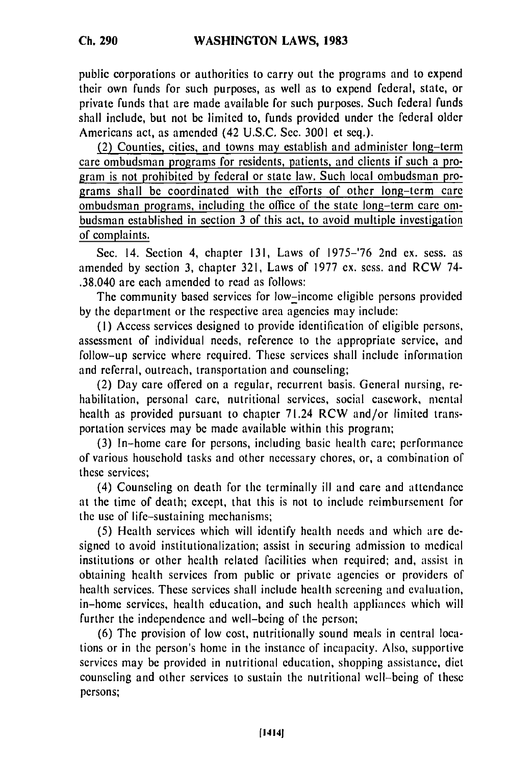public corporations or authorities to carry out the programs and to expend their own funds for such purposes, as well as to expend federal, state, or private funds that are made available for such purposes. Such federal funds shall include, but not be limited to, funds provided under the federal older Americans act, as amended (42 U.S.C. Sec. 3001 et seq.).

(2) Counties, cities, and towns may establish and administer long-term care ombudsman programs for residents, patients, and clients if such a program is not prohibited **by** federal or state law. Such local ombudsman programs shall be coordinated with the efforts of other long-term care ombudsman programs, including the office of the state long-term care ombudsman established in section 3 of this act, to avoid multiple investigation of complaints.

Sec. 14. Section 4, chapter 131, Laws of 1975-'76 2nd ex. sess. as amended by section 3, chapter 321, Laws of 1977 ex. sess. and RCW 74- .38.040 are each amended to read as follows:

The community based services for low-income eligible persons provided by the department or the respective area agencies may include:

**(1)** Access services designed to provide identification of eligible persons, assessment of individual needs, reference to the appropriate service, and follow-up service where required. These services shall include information and referral, outreach, transportation and counseling;

(2) Day care offered on a regular, recurrent basis. General nursing, rehabilitation, personal care, nutritional services, social casework, mental health as provided pursuant to chapter 71.24 RCW and/or limited transportation services may be made available within this program;

(3) In-home care for persons, including basic health care; performance of various household tasks and other necessary chores, or, a combination of these services;

(4) Counseling on death for the terminally ill and care and attendance at the time of death; except, that this is not to include reimbursement for the use of life-sustaining mechanisms;

(5) Health services which will identify health needs and which are designed to avoid institutionalization; assist in securing admission to medical institutions or other health related facilities when required; and, assist in obtaining health services from public or private agencies or providers of health services. These services shall include health screening and evaluation, in-home services, health education, and such health appliances which will further the independence and well-being of the person;

(6) The provision of low cost, nutritionally sound meals in central locations or in the person's home in the instance of incapacity. Also, supportive services may be provided in nutritional education, shopping assistance, diet counseling and other services to sustain the nutritional well-being of these persons;